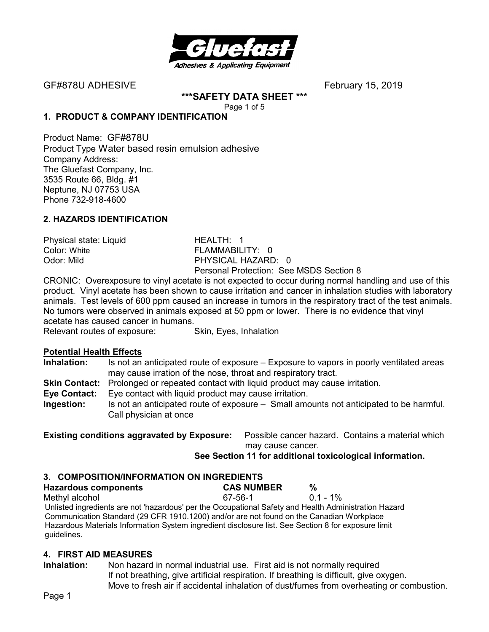

GF#878U ADHESIVEFebruary 15, 2019

**\*\*\*SAFETY DATA SHEET \*\*\***  Page 1 of 5

#### **1. PRODUCT & COMPANY IDENTIFICATION**

Product Name: GF#878U Product Type Water based resin emulsion adhesive Company Address: The Gluefast Company, Inc. 3535 Route 66, Bldg. #1 Neptune, NJ 07753 USA Phone 732-918-4600

## **2. HAZARDS IDENTIFICATION**

Physical state: Liquid **HEALTH: 1**<br>Color: White **Color:** New TEAMMABILI FLAMMABILITY: 0 Odor: Mild PHYSICAL HAZARD: 0 Personal Protection: See MSDS Section 8

CRONIC: Overexposure to vinyl acetate is not expected to occur during normal handling and use of this product. Vinyl acetate has been shown to cause irritation and cancer in inhalation studies with laboratory animals. Test levels of 600 ppm caused an increase in tumors in the respiratory tract of the test animals. No tumors were observed in animals exposed at 50 ppm or lower. There is no evidence that vinyl acetate has caused cancer in humans.

Relevant routes of exposure: Skin, Eyes, Inhalation

#### **Potential Health Effects**

**Inhalation:** Is not an anticipated route of exposure – Exposure to vapors in poorly ventilated areas may cause irration of the nose, throat and respiratory tract.

- **Skin Contact:** Prolonged or repeated contact with liquid product may cause irritation.
- **Eye Contact:** Eye contact with liquid product may cause irritation.
- **Ingestion:** Is not an anticipated route of exposure Small amounts not anticipated to be harmful. Call physician at once

**Existing conditions aggravated by Exposure:** Possible cancer hazard. Contains a material which may cause cancer.

#### **See Section 11 for additional toxicological information.**

#### **3. COMPOSITION/INFORMATION ON INGREDIENTS**

| <b>Hazardous components</b>                                                                           | <b>CAS NUMBER</b> | %           |  |
|-------------------------------------------------------------------------------------------------------|-------------------|-------------|--|
| Methyl alcohol                                                                                        | 67-56-1           | $0.1 - 1\%$ |  |
| Unlisted ingredients are not 'hazardous' per the Occupational Safety and Health Administration Hazard |                   |             |  |
| Communication Standard (29 CFR 1910.1200) and/or are not found on the Canadian Workplace              |                   |             |  |
| Hazardous Materials Information System ingredient disclosure list. See Section 8 for exposure limit   |                   |             |  |
| guidelines.                                                                                           |                   |             |  |

#### **4. FIRST AID MEASURES**

**Inhalation:** Non hazard in normal industrial use. First aid is not normally required If not breathing, give artificial respiration. If breathing is difficult, give oxygen. Move to fresh air if accidental inhalation of dust/fumes from overheating or combustion.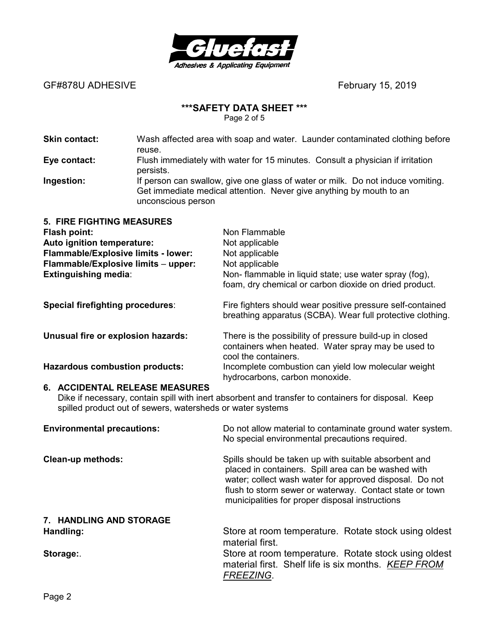

GF#878U ADHESIVE **BEF#878U ADHESIVE** 

# **\*\*\*SAFETY DATA SHEET \*\*\***

Page 2 of 5

| <b>Skin contact:</b>                                                                                                                                                                                | Wash affected area with soap and water. Launder contaminated clothing before<br>reuse.                                                                                       |                                                                                                                                                                                                                                                                                       |  |
|-----------------------------------------------------------------------------------------------------------------------------------------------------------------------------------------------------|------------------------------------------------------------------------------------------------------------------------------------------------------------------------------|---------------------------------------------------------------------------------------------------------------------------------------------------------------------------------------------------------------------------------------------------------------------------------------|--|
| Eye contact:                                                                                                                                                                                        | Flush immediately with water for 15 minutes. Consult a physician if irritation<br>persists.                                                                                  |                                                                                                                                                                                                                                                                                       |  |
| Ingestion:                                                                                                                                                                                          | If person can swallow, give one glass of water or milk. Do not induce vomiting.<br>Get immediate medical attention. Never give anything by mouth to an<br>unconscious person |                                                                                                                                                                                                                                                                                       |  |
| <b>5. FIRE FIGHTING MEASURES</b><br><b>Flash point:</b><br>Auto ignition temperature:<br>Flammable/Explosive limits - lower:<br>Flammable/Explosive limits - upper:<br>Extinguishing media:         |                                                                                                                                                                              | Non Flammable<br>Not applicable<br>Not applicable<br>Not applicable<br>Non- flammable in liquid state; use water spray (fog),<br>foam, dry chemical or carbon dioxide on dried product.                                                                                               |  |
| Special firefighting procedures:                                                                                                                                                                    |                                                                                                                                                                              | Fire fighters should wear positive pressure self-contained<br>breathing apparatus (SCBA). Wear full protective clothing.                                                                                                                                                              |  |
| Unusual fire or explosion hazards:                                                                                                                                                                  |                                                                                                                                                                              | There is the possibility of pressure build-up in closed<br>containers when heated. Water spray may be used to<br>cool the containers.                                                                                                                                                 |  |
| <b>Hazardous combustion products:</b>                                                                                                                                                               |                                                                                                                                                                              | Incomplete combustion can yield low molecular weight<br>hydrocarbons, carbon monoxide.                                                                                                                                                                                                |  |
| 6. ACCIDENTAL RELEASE MEASURES<br>Dike if necessary, contain spill with inert absorbent and transfer to containers for disposal. Keep<br>spilled product out of sewers, watersheds or water systems |                                                                                                                                                                              |                                                                                                                                                                                                                                                                                       |  |
| <b>Environmental precautions:</b>                                                                                                                                                                   |                                                                                                                                                                              | Do not allow material to contaminate ground water system.<br>No special environmental precautions required.                                                                                                                                                                           |  |
| <b>Clean-up methods:</b>                                                                                                                                                                            |                                                                                                                                                                              | Spills should be taken up with suitable absorbent and<br>placed in containers. Spill area can be washed with<br>water; collect wash water for approved disposal. Do not<br>flush to storm sewer or waterway. Contact state or town<br>municipalities for proper disposal instructions |  |
| 7. HANDLING AND STORAGE                                                                                                                                                                             |                                                                                                                                                                              |                                                                                                                                                                                                                                                                                       |  |
| Handling:                                                                                                                                                                                           |                                                                                                                                                                              | Store at room temperature. Rotate stock using oldest<br>material first.                                                                                                                                                                                                               |  |
| Storage:                                                                                                                                                                                            |                                                                                                                                                                              | Store at room temperature. Rotate stock using oldest<br>material first. Shelf life is six months. KEEP FROM<br>FREEZING.                                                                                                                                                              |  |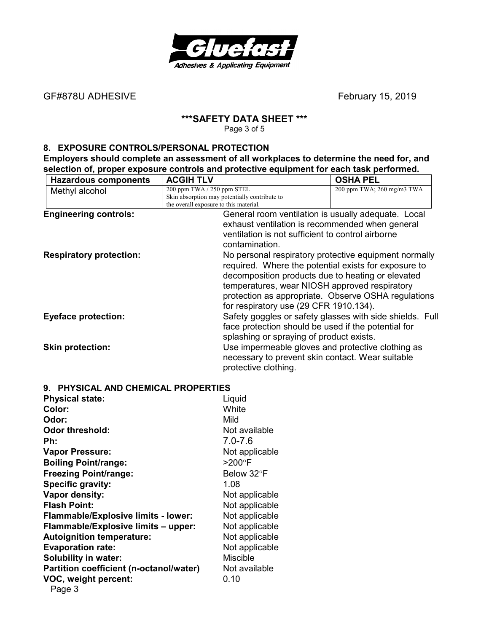

GF#878U ADHESIVE *CF#878U ADHESIVE* 

# **\*\*\*SAFETY DATA SHEET \*\*\***

Page 3 of 5

#### **8. EXPOSURE CONTROLS/PERSONAL PROTECTION**

**Employers should complete an assessment of all workplaces to determine the need for, and selection of, proper exposure controls and protective equipment for each task performed.** 

| <b>Hazardous components</b>         | <b>ACGIH TLV</b>                                                                        | <b>OSHA PEL</b>                                                                                      |
|-------------------------------------|-----------------------------------------------------------------------------------------|------------------------------------------------------------------------------------------------------|
| Methyl alcohol                      | 200 ppm TWA / 250 ppm STEL                                                              | 200 ppm TWA; 260 mg/m3 TWA                                                                           |
|                                     | Skin absorption may potentially contribute to<br>the overall exposure to this material. |                                                                                                      |
| <b>Engineering controls:</b>        |                                                                                         | General room ventilation is usually adequate. Local                                                  |
|                                     |                                                                                         | exhaust ventilation is recommended when general                                                      |
|                                     |                                                                                         | ventilation is not sufficient to control airborne                                                    |
|                                     | contamination.                                                                          |                                                                                                      |
|                                     |                                                                                         |                                                                                                      |
| <b>Respiratory protection:</b>      |                                                                                         | No personal respiratory protective equipment normally                                                |
|                                     |                                                                                         | required. Where the potential exists for exposure to                                                 |
|                                     |                                                                                         | decomposition products due to heating or elevated                                                    |
|                                     |                                                                                         | temperatures, wear NIOSH approved respiratory<br>protection as appropriate. Observe OSHA regulations |
|                                     |                                                                                         | for respiratory use (29 CFR 1910.134).                                                               |
| <b>Eyeface protection:</b>          |                                                                                         | Safety goggles or safety glasses with side shields. Full                                             |
|                                     |                                                                                         | face protection should be used if the potential for                                                  |
|                                     |                                                                                         | splashing or spraying of product exists.                                                             |
| <b>Skin protection:</b>             |                                                                                         | Use impermeable gloves and protective clothing as                                                    |
|                                     |                                                                                         | necessary to prevent skin contact. Wear suitable                                                     |
|                                     | protective clothing.                                                                    |                                                                                                      |
|                                     |                                                                                         |                                                                                                      |
| 9. PHYSICAL AND CHEMICAL PROPERTIES |                                                                                         |                                                                                                      |
| <b>Physical state:</b>              | Liquid                                                                                  |                                                                                                      |
| Color:                              | White                                                                                   |                                                                                                      |
| Odor:                               | Mild                                                                                    |                                                                                                      |
| <b>Odor threshold:</b>              | Not available                                                                           |                                                                                                      |
| Ph:                                 | $7.0 - 7.6$                                                                             |                                                                                                      |
| <b>Vapor Pressure:</b>              | Not applicable                                                                          |                                                                                                      |
| <b>Boiling Point/range:</b>         | $>200^\circ F$                                                                          |                                                                                                      |

**Not applicable Not applicable Not applicable Not applicable Not applicable Not applicable Miscible** 

**Partition coefficient (n-octanole 0.10)** 

| <b>Freezing Point/range:</b>            | Below 32°F      |
|-----------------------------------------|-----------------|
| Specific gravity:                       | 1.08            |
| Vapor density:                          | Not applical    |
| <b>Flash Point:</b>                     | Not applical    |
| Flammable/Explosive limits - lower:     | Not applical    |
| Flammable/Explosive limits - upper:     | Not applical    |
| <b>Autoignition temperature:</b>        | Not applical    |
| <b>Evaporation rate:</b>                | Not applical    |
| <b>Solubility in water:</b>             | <b>Miscible</b> |
| Partition coefficient (n-octanol/water) | Not availabl    |
| VOC, weight percent:                    | 0.10            |
| Page 3                                  |                 |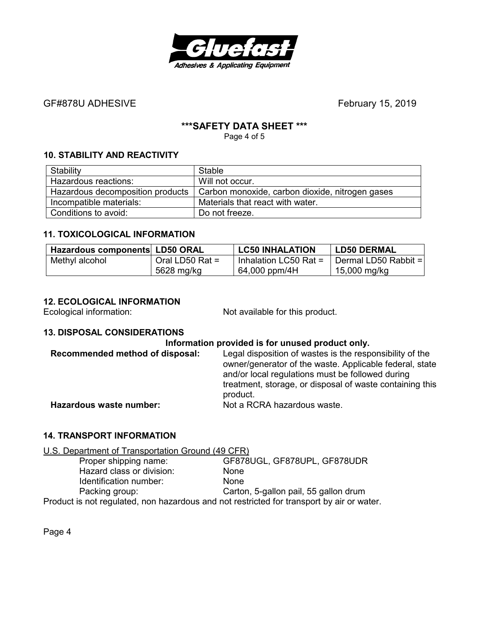

## GF#878U ADHESIVE *CF#878U ADHESIVE*

#### **\*\*\*SAFETY DATA SHEET \*\*\***

Page 4 of 5

## **10. STABILITY AND REACTIVITY**

| Stability                        | Stable                                          |
|----------------------------------|-------------------------------------------------|
| Hazardous reactions:             | Will not occur.                                 |
| Hazardous decomposition products | Carbon monoxide, carbon dioxide, nitrogen gases |
| Incompatible materials:          | Materials that react with water.                |
| Conditions to avoid:             | Do not freeze.                                  |

#### **11. TOXICOLOGICAL INFORMATION**

| Hazardous components LD50 ORAL |                   | <b>LC50 INHALATION</b>  | LD50 DERMAL          |
|--------------------------------|-------------------|-------------------------|----------------------|
| Methyl alcohol                 | Oral LD50 Rat $=$ | Inhalation LC50 Rat $=$ | Dermal LD50 Rabbit = |
|                                | 5628 mg/kg        | 64,000 ppm/4H           | 15,000 mg/kg         |

#### **12. ECOLOGICAL INFORMATION**

Ecological information: Not available for this product.

#### **13. DISPOSAL CONSIDERATIONS**

#### **Information provided is for unused product only.**

| Recommended method of disposal: | Legal disposition of wastes is the responsibility of the<br>owner/generator of the waste. Applicable federal, state<br>and/or local regulations must be followed during<br>treatment, storage, or disposal of waste containing this<br>product. |
|---------------------------------|-------------------------------------------------------------------------------------------------------------------------------------------------------------------------------------------------------------------------------------------------|
| Hazardous waste number:         | Not a RCRA hazardous waste.                                                                                                                                                                                                                     |

### **14. TRANSPORT INFORMATION**

U.S. Department of Transportation Ground (49 CFR)

| Proper shipping name:                                                                     | GF878UGL, GF878UPL, GF878UDR          |
|-------------------------------------------------------------------------------------------|---------------------------------------|
| Hazard class or division:                                                                 | <b>None</b>                           |
| Identification number:                                                                    | <b>None</b>                           |
| Packing group:                                                                            | Carton, 5-gallon pail, 55 gallon drum |
| Product is not regulated, non hazardous and not restricted for transport by air or water. |                                       |

Page 4